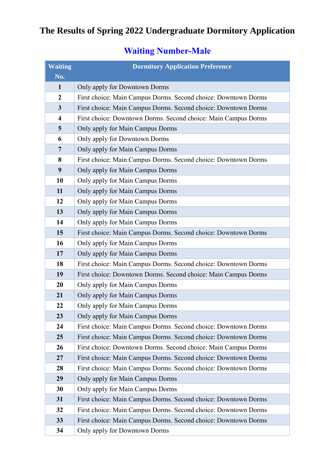## **The Results of Spring 2022 Undergraduate Dormitory Application**

## **Waiting Number-Male**

| <b>Waiting</b>          | <b>Dormitory Application Preference</b>                        |
|-------------------------|----------------------------------------------------------------|
| No.                     |                                                                |
| $\mathbf{1}$            | Only apply for Downtown Dorms                                  |
| $\mathbf{2}$            | First choice: Main Campus Dorms. Second choice: Downtown Dorms |
| 3                       | First choice: Main Campus Dorms. Second choice: Downtown Dorms |
| $\overline{\mathbf{4}}$ | First choice: Downtown Dorms. Second choice: Main Campus Dorms |
| 5                       | Only apply for Main Campus Dorms                               |
| 6                       | Only apply for Downtown Dorms                                  |
| $\overline{7}$          | Only apply for Main Campus Dorms                               |
| 8                       | First choice: Main Campus Dorms. Second choice: Downtown Dorms |
| 9                       | Only apply for Main Campus Dorms                               |
| 10                      | Only apply for Main Campus Dorms                               |
| 11                      | Only apply for Main Campus Dorms                               |
| 12                      | Only apply for Main Campus Dorms                               |
| 13                      | Only apply for Main Campus Dorms                               |
| 14                      | Only apply for Main Campus Dorms                               |
| 15                      | First choice: Main Campus Dorms. Second choice: Downtown Dorms |
| 16                      | Only apply for Main Campus Dorms                               |
| 17                      | Only apply for Main Campus Dorms                               |
| 18                      | First choice: Main Campus Dorms. Second choice: Downtown Dorms |
| 19                      | First choice: Downtown Dorms. Second choice: Main Campus Dorms |
| 20                      | Only apply for Main Campus Dorms                               |
| 21                      | Only apply for Main Campus Dorms                               |
| 22                      | Only apply for Main Campus Dorms                               |
| 23                      | Only apply for Main Campus Dorms                               |
| 24                      | First choice: Main Campus Dorms. Second choice: Downtown Dorms |
| 25                      | First choice: Main Campus Dorms. Second choice: Downtown Dorms |
| 26                      | First choice: Downtown Dorms. Second choice: Main Campus Dorms |
| 27                      | First choice: Main Campus Dorms. Second choice: Downtown Dorms |
| 28                      | First choice: Main Campus Dorms. Second choice: Downtown Dorms |
| 29                      | Only apply for Main Campus Dorms                               |
| 30                      | Only apply for Main Campus Dorms                               |
| 31                      | First choice: Main Campus Dorms. Second choice: Downtown Dorms |
| 32                      | First choice: Main Campus Dorms. Second choice: Downtown Dorms |
| 33                      | First choice: Main Campus Dorms. Second choice: Downtown Dorms |
| 34                      | Only apply for Downtown Dorms                                  |